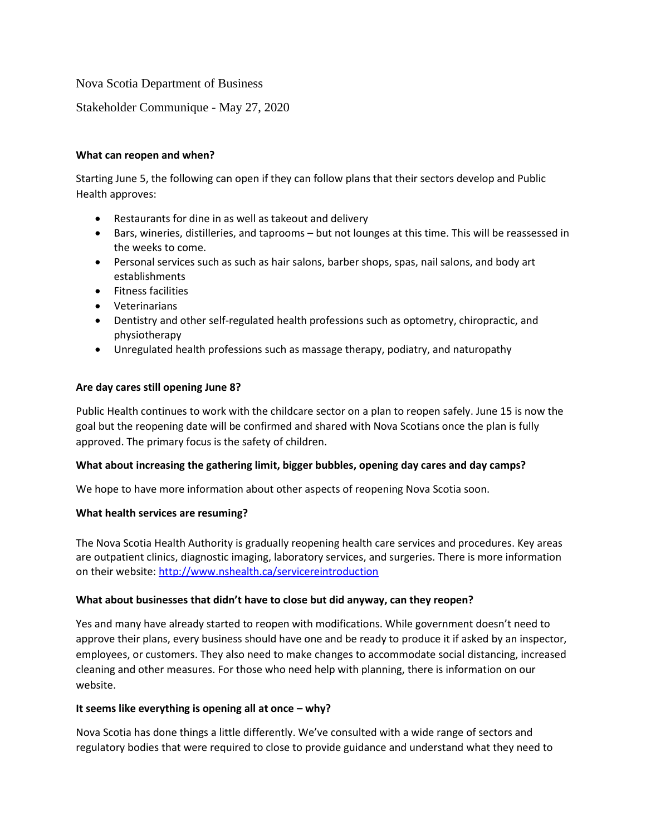## Nova Scotia Department of Business

Stakeholder Communique - May 27, 2020

### **What can reopen and when?**

Starting June 5, the following can open if they can follow plans that their sectors develop and Public Health approves:

- Restaurants for dine in as well as takeout and delivery
- Bars, wineries, distilleries, and taprooms but not lounges at this time. This will be reassessed in the weeks to come.
- Personal services such as such as hair salons, barber shops, spas, nail salons, and body art establishments
- Fitness facilities
- Veterinarians
- Dentistry and other self-regulated health professions such as optometry, chiropractic, and physiotherapy
- Unregulated health professions such as massage therapy, podiatry, and naturopathy

#### **Are day cares still opening June 8?**

Public Health continues to work with the childcare sector on a plan to reopen safely. June 15 is now the goal but the reopening date will be confirmed and shared with Nova Scotians once the plan is fully approved. The primary focus is the safety of children.

### **What about increasing the gathering limit, bigger bubbles, opening day cares and day camps?**

We hope to have more information about other aspects of reopening Nova Scotia soon.

#### **What health services are resuming?**

The Nova Scotia Health Authority is gradually reopening health care services and procedures. Key areas are outpatient clinics, diagnostic imaging, laboratory services, and surgeries. There is more information on their website:<http://www.nshealth.ca/servicereintroduction>

### **What about businesses that didn't have to close but did anyway, can they reopen?**

Yes and many have already started to reopen with modifications. While government doesn't need to approve their plans, every business should have one and be ready to produce it if asked by an inspector, employees, or customers. They also need to make changes to accommodate social distancing, increased cleaning and other measures. For those who need help with planning, there is information on our website.

### **It seems like everything is opening all at once – why?**

Nova Scotia has done things a little differently. We've consulted with a wide range of sectors and regulatory bodies that were required to close to provide guidance and understand what they need to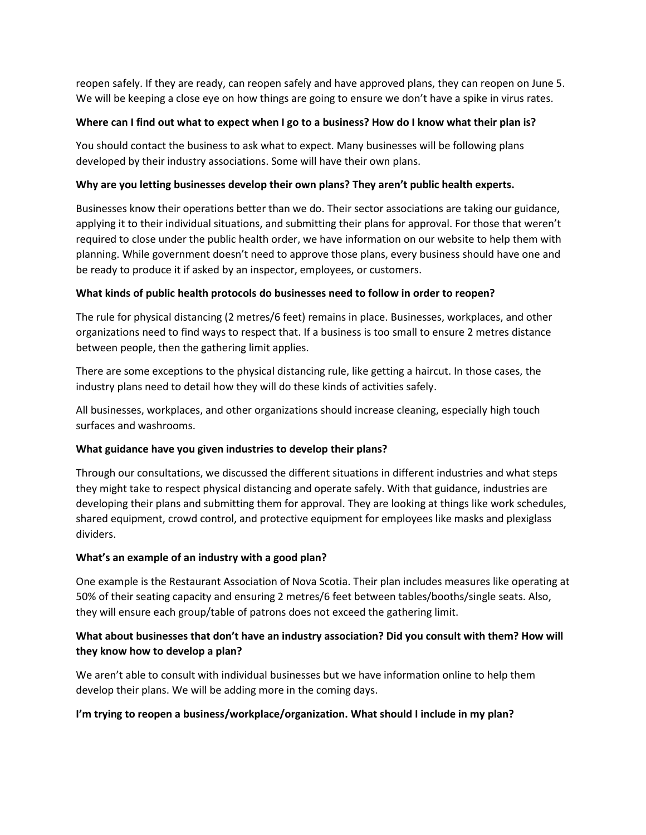reopen safely. If they are ready, can reopen safely and have approved plans, they can reopen on June 5. We will be keeping a close eye on how things are going to ensure we don't have a spike in virus rates.

### **Where can I find out what to expect when I go to a business? How do I know what their plan is?**

You should contact the business to ask what to expect. Many businesses will be following plans developed by their industry associations. Some will have their own plans.

## **Why are you letting businesses develop their own plans? They aren't public health experts.**

Businesses know their operations better than we do. Their sector associations are taking our guidance, applying it to their individual situations, and submitting their plans for approval. For those that weren't required to close under the public health order, we have information on our website to help them with planning. While government doesn't need to approve those plans, every business should have one and be ready to produce it if asked by an inspector, employees, or customers.

### **What kinds of public health protocols do businesses need to follow in order to reopen?**

The rule for physical distancing (2 metres/6 feet) remains in place. Businesses, workplaces, and other organizations need to find ways to respect that. If a business is too small to ensure 2 metres distance between people, then the gathering limit applies.

There are some exceptions to the physical distancing rule, like getting a haircut. In those cases, the industry plans need to detail how they will do these kinds of activities safely.

All businesses, workplaces, and other organizations should increase cleaning, especially high touch surfaces and washrooms.

# **What guidance have you given industries to develop their plans?**

Through our consultations, we discussed the different situations in different industries and what steps they might take to respect physical distancing and operate safely. With that guidance, industries are developing their plans and submitting them for approval. They are looking at things like work schedules, shared equipment, crowd control, and protective equipment for employees like masks and plexiglass dividers.

### **What's an example of an industry with a good plan?**

One example is the Restaurant Association of Nova Scotia. Their plan includes measures like operating at 50% of their seating capacity and ensuring 2 metres/6 feet between tables/booths/single seats. Also, they will ensure each group/table of patrons does not exceed the gathering limit.

# **What about businesses that don't have an industry association? Did you consult with them? How will they know how to develop a plan?**

We aren't able to consult with individual businesses but we have information online to help them develop their plans. We will be adding more in the coming days.

### **I'm trying to reopen a business/workplace/organization. What should I include in my plan?**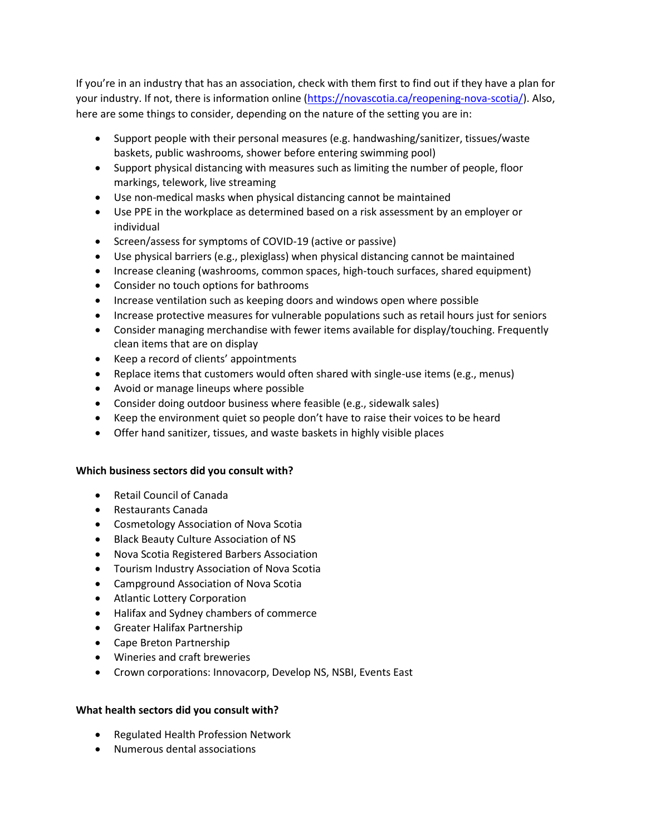If you're in an industry that has an association, check with them first to find out if they have a plan for your industry. If not, there is information online [\(https://novascotia.ca/reopening-nova-scotia/\)](https://novascotia.ca/reopening-nova-scotia/). Also, here are some things to consider, depending on the nature of the setting you are in:

- Support people with their personal measures (e.g. handwashing/sanitizer, tissues/waste baskets, public washrooms, shower before entering swimming pool)
- Support physical distancing with measures such as limiting the number of people, floor markings, telework, live streaming
- Use non-medical masks when physical distancing cannot be maintained
- Use PPE in the workplace as determined based on a risk assessment by an employer or individual
- Screen/assess for symptoms of COVID-19 (active or passive)
- Use physical barriers (e.g., plexiglass) when physical distancing cannot be maintained
- Increase cleaning (washrooms, common spaces, high-touch surfaces, shared equipment)
- Consider no touch options for bathrooms
- Increase ventilation such as keeping doors and windows open where possible
- Increase protective measures for vulnerable populations such as retail hours just for seniors
- Consider managing merchandise with fewer items available for display/touching. Frequently clean items that are on display
- Keep a record of clients' appointments
- Replace items that customers would often shared with single-use items (e.g., menus)
- Avoid or manage lineups where possible
- Consider doing outdoor business where feasible (e.g., sidewalk sales)
- Keep the environment quiet so people don't have to raise their voices to be heard
- Offer hand sanitizer, tissues, and waste baskets in highly visible places

### **Which business sectors did you consult with?**

- Retail Council of Canada
- Restaurants Canada
- Cosmetology Association of Nova Scotia
- Black Beauty Culture Association of NS
- Nova Scotia Registered Barbers Association
- Tourism Industry Association of Nova Scotia
- Campground Association of Nova Scotia
- Atlantic Lottery Corporation
- Halifax and Sydney chambers of commerce
- Greater Halifax Partnership
- Cape Breton Partnership
- Wineries and craft breweries
- Crown corporations: Innovacorp, Develop NS, NSBI, Events East

### **What health sectors did you consult with?**

- Regulated Health Profession Network
- Numerous dental associations